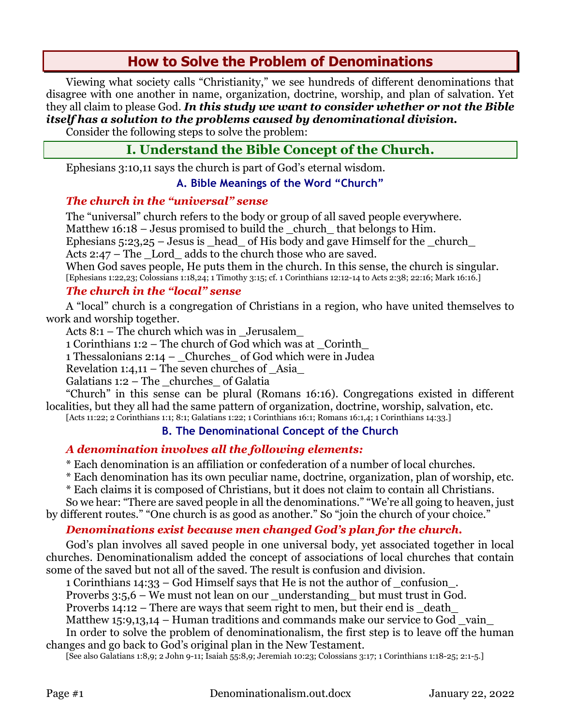# **How to Solve the Problem of Denominations**

Viewing what society calls "Christianity," we see hundreds of different denominations that disagree with one another in name, organization, doctrine, worship, and plan of salvation. Yet they all claim to please God. *In this study we want to consider whether or not the Bible itself has a solution to the problems caused by denominational division.*

Consider the following steps to solve the problem:

# **I. Understand the Bible Concept of the Church.**

Ephesians 3:10,11 says the church is part of God's eternal wisdom.

### **A. Bible Meanings of the Word "Church"**

### *The church in the "universal" sense*

The "universal" church refers to the body or group of all saved people everywhere. Matthew  $16:18$  – Jesus promised to build the church that belongs to Him. Ephesians  $5:23,25$  – Jesus is  $\_\$ head $\_\$  of His body and gave Himself for the  $\_\$ church $\_\$ Acts  $2:47$  – The Lord adds to the church those who are saved. When God saves people, He puts them in the church. In this sense, the church is singular. [Ephesians 1:22,23; Colossians 1:18,24; 1 Timothy 3:15; cf. 1 Corinthians 12:12-14 to Acts 2:38; 22:16; Mark 16:16.]

## *The church in the "local" sense*

A "local" church is a congregation of Christians in a region, who have united themselves to work and worship together.

Acts 8:1 – The church which was in \_Jerusalem\_

1 Corinthians 1:2 – The church of God which was at \_Corinth\_

1 Thessalonians 2:14 – \_Churches\_ of God which were in Judea

Revelation  $1:4,11$  – The seven churches of Asia

Galatians  $1:2$  – The churches of Galatia

"Church" in this sense can be plural (Romans 16:16). Congregations existed in different localities, but they all had the same pattern of organization, doctrine, worship, salvation, etc.

# [Acts 11:22; 2 Corinthians 1:1; 8:1; Galatians 1:22; 1 Corinthians 16:1; Romans 16:1,4; 1 Corinthians 14:33.]

## **B. The Denominational Concept of the Church**

## *A denomination involves all the following elements:*

\* Each denomination is an affiliation or confederation of a number of local churches.

\* Each denomination has its own peculiar name, doctrine, organization, plan of worship, etc.

\* Each claims it is composed of Christians, but it does not claim to contain all Christians.

So we hear: "There are saved people in all the denominations." "We're all going to heaven, just by different routes." "One church is as good as another." So "join the church of your choice."

## *Denominations exist because men changed God's plan for the church.*

God's plan involves all saved people in one universal body, yet associated together in local churches. Denominationalism added the concept of associations of local churches that contain some of the saved but not all of the saved. The result is confusion and division.

1 Corinthians 14:33 – God Himself says that He is not the author of \_confusion\_.

Proverbs 3:5,6 – We must not lean on our \_understanding\_ but must trust in God.

Proverbs  $14:12$  – There are ways that seem right to men, but their end is death

Matthew 15:9,13,14 – Human traditions and commands make our service to God vain

In order to solve the problem of denominationalism, the first step is to leave off the human changes and go back to God's original plan in the New Testament.

[See also Galatians 1:8,9; 2 John 9-11; Isaiah 55:8,9; Jeremiah 10:23; Colossians 3:17; 1 Corinthians 1:18-25; 2:1-5.]